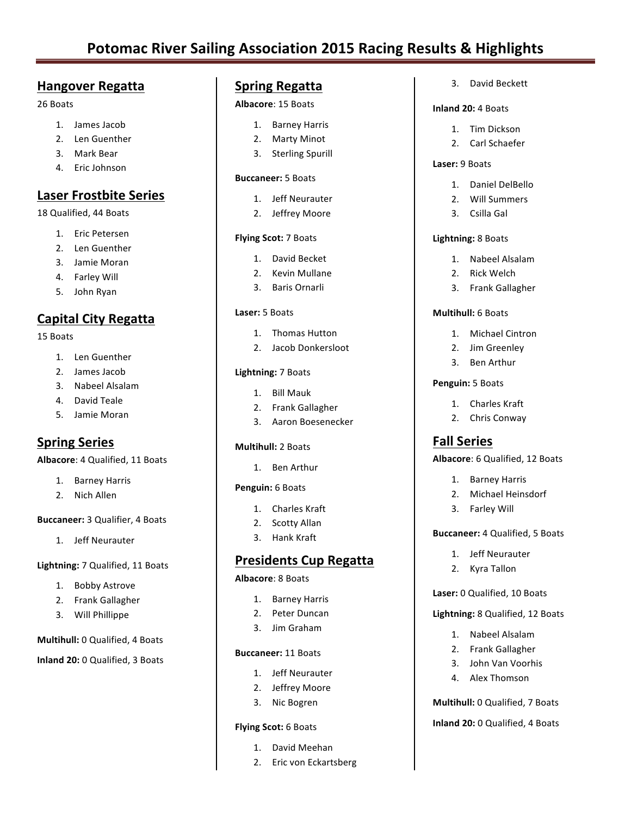# **Potomac River Sailing Association 2015 Racing Results & Highlights**

# **Hangover Regatta**

## 26 Boats

- 1. James Jacob
- 2. Len Guenther
- 3. Mark Bear
- 4. Eric Johnson

# **Laser Frostbite Series**

## 18 Qualified, 44 Boats

- 1. Eric Petersen
- 2. Len Guenther
- 3. Jamie Moran
- 4. Farley Will
- 5. John Ryan

# **Capital City Regatta**

## 15 Boats

- 1. Len Guenther
- 2. James Jacob
- 3. Nabeel Alsalam
- 4. David Teale
- 5. Jamie Moran

# **Spring Series**

## **Albacore: 4 Qualified, 11 Boats**

- 1. Barney Harris
- 2. Nich Allen

## **Buccaneer:** 3 Qualifier, 4 Boats

1. Jeff Neurauter

## **Lightning:** 7 Qualified, 11 Boats

- 1. Bobby Astrove
- 2. Frank Gallagher
- 3. Will Phillippe

## **Multihull:** 0 Qualified, 4 Boats

**Inland 20:** 0 Qualified, 3 Boats

## **Spring Regatta**

## **Albacore**: 15 Boats

- 1. Barney Harris
- 2. Marty Minot
- 3. Sterling Spurill

## **Buccaneer:** 5 Boats

- 1. Jeff Neurauter
- 2. Jeffrey Moore

## **Flying Scot:** 7 Boats

- 1. David Becket
- 2. Kevin Mullane
- 3. Baris Ornarli

## Laser: 5 Boats

- 1 Thomas Hutton
- 2. Jacob Donkersloot

## **Lightning:** 7 Boats

- 1. Bill Mauk
- 2. Frank Gallagher
- 3. Aaron Boesenecker

## **Multihull:** 2 Boats

1. Ben Arthur

## Penguin: 6 Boats

- 1. Charles Kraft
- 2. Scotty Allan
- 3. Hank Kraft

# **Presidents Cup Regatta**

## **Albacore**: 8 Boats

- 1. Barney Harris
- 2. Peter Duncan
- 3. Jim Graham

## **Buccaneer:** 11 Boats

- 1. Jeff Neurauter
- 2. Jeffrey Moore
- 3. Nic Bogren

## **Flying Scot:** 6 Boats

- 1. David Meehan
- 2. Eric von Eckartsberg

3. David Beckett

## **Inland 20:** 4 Boats

- 1. Tim Dickson
- 2. Carl Schaefer

## **Laser:** 9 Boats

- 1. Daniel DelBello
- 2. Will Summers
- 3. Csilla Gal

## **Lightning:** 8 Boats

- 1. Nabeel Alsalam
- 2. Rick Welch
- 3. Frank Gallagher

## **Multihull:** 6 Boats

- 1. Michael Cintron
- 2. Jim Greenley
- 3. Ben Arthur

## **Penguin:** 5 Boats

- 1. Charles Kraft
- 2. Chris Conway

# **Fall Series**

## **Albacore:** 6 Qualified, 12 Boats

- 1. Barney Harris
- 2. Michael Heinsdorf
- 3. Farley Will

## **Buccaneer:** 4 Qualified, 5 Boats

- 1. Jeff Neurauter
- 2. Kvra Tallon

## Laser: 0 Qualified, 10 Boats

## **Lightning:** 8 Qualified, 12 Boats

1. Nabeel Alsalam 2. Frank Gallagher

3. John Van Voorhis 4. Alex Thomson

**Multihull:** 0 Qualified, 7 Boats **Inland 20:** 0 Qualified, 4 Boats